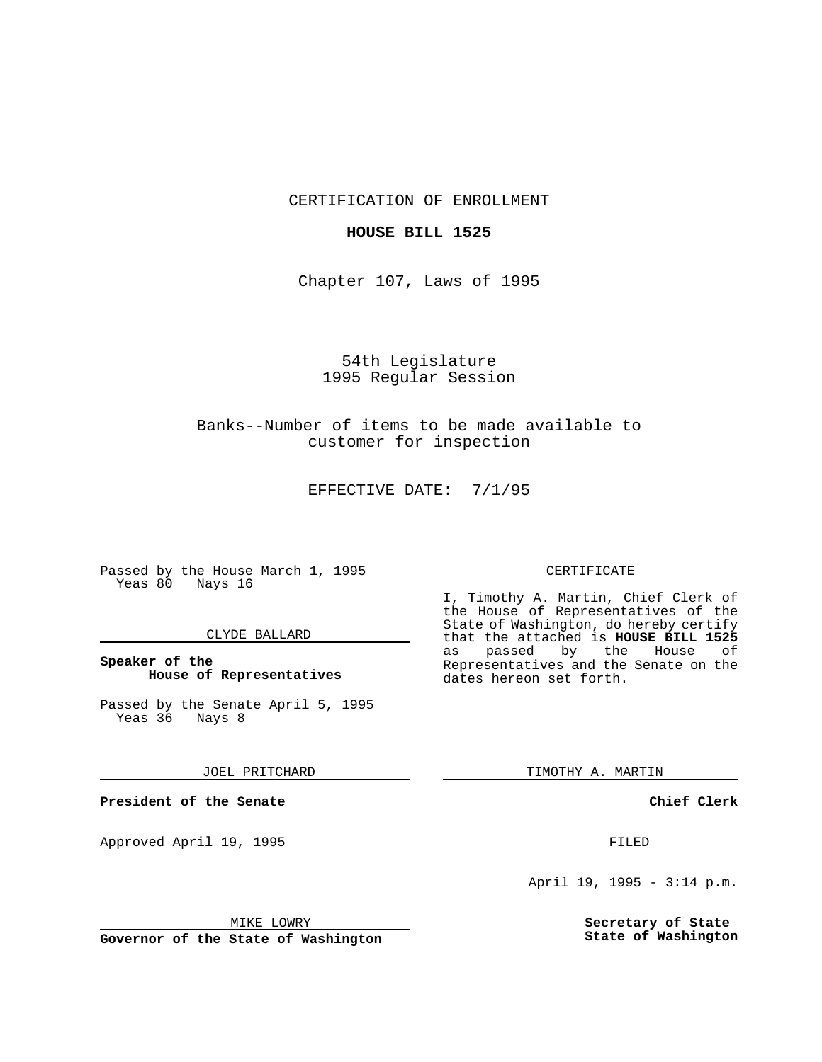CERTIFICATION OF ENROLLMENT

# **HOUSE BILL 1525**

Chapter 107, Laws of 1995

54th Legislature 1995 Regular Session

Banks--Number of items to be made available to customer for inspection

EFFECTIVE DATE: 7/1/95

Passed by the House March 1, 1995 Yeas 80 Nays 16

### CLYDE BALLARD

**Speaker of the House of Representatives**

Passed by the Senate April 5, 1995<br>Yeas 36 Nays 8 Yeas 36

JOEL PRITCHARD

**President of the Senate**

Approved April 19, 1995 FILED

# MIKE LOWRY

**Governor of the State of Washington**

#### CERTIFICATE

I, Timothy A. Martin, Chief Clerk of the House of Representatives of the State of Washington, do hereby certify that the attached is **HOUSE BILL 1525** as passed by the House of Representatives and the Senate on the dates hereon set forth.

TIMOTHY A. MARTIN

### **Chief Clerk**

April 19, 1995 - 3:14 p.m.

**Secretary of State State of Washington**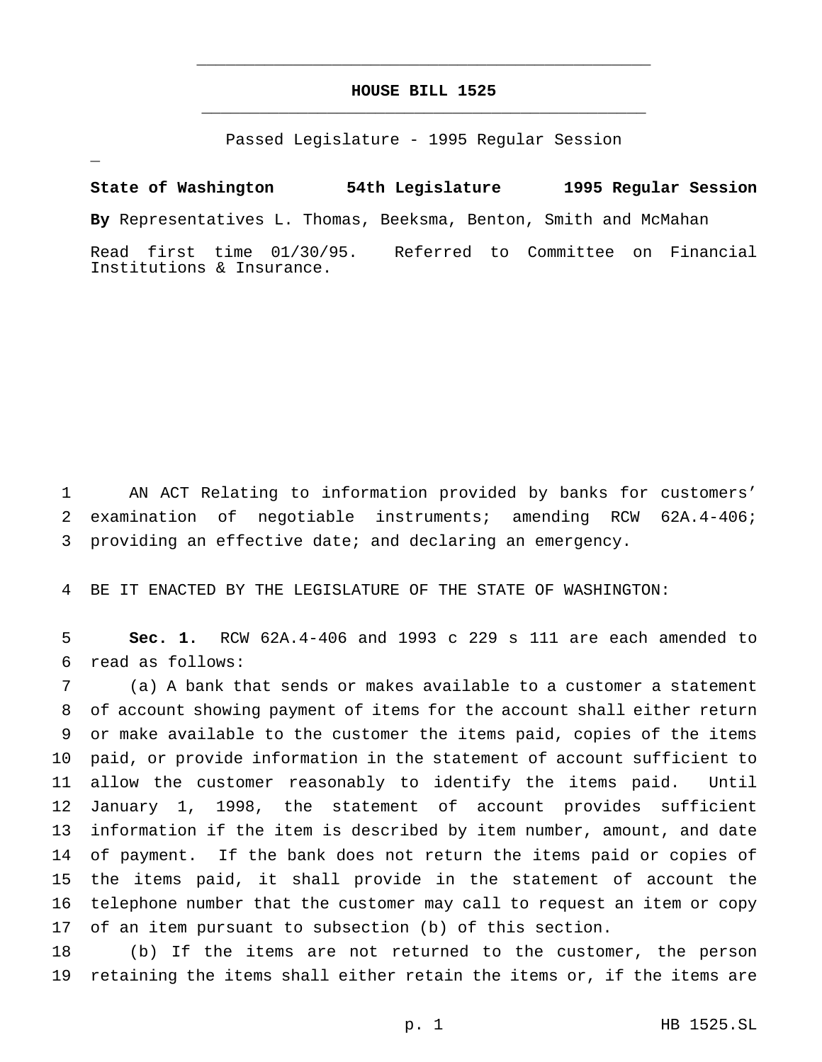# **HOUSE BILL 1525** \_\_\_\_\_\_\_\_\_\_\_\_\_\_\_\_\_\_\_\_\_\_\_\_\_\_\_\_\_\_\_\_\_\_\_\_\_\_\_\_\_\_\_\_\_\_

\_\_\_\_\_\_\_\_\_\_\_\_\_\_\_\_\_\_\_\_\_\_\_\_\_\_\_\_\_\_\_\_\_\_\_\_\_\_\_\_\_\_\_\_\_\_\_

Passed Legislature - 1995 Regular Session

**State of Washington 54th Legislature 1995 Regular Session**

**By** Representatives L. Thomas, Beeksma, Benton, Smith and McMahan

\_

Read first time 01/30/95. Referred to Committee on Financial Institutions & Insurance.

 AN ACT Relating to information provided by banks for customers' examination of negotiable instruments; amending RCW 62A.4-406; providing an effective date; and declaring an emergency.

BE IT ENACTED BY THE LEGISLATURE OF THE STATE OF WASHINGTON:

 **Sec. 1.** RCW 62A.4-406 and 1993 c 229 s 111 are each amended to read as follows:

 (a) A bank that sends or makes available to a customer a statement of account showing payment of items for the account shall either return or make available to the customer the items paid, copies of the items paid, or provide information in the statement of account sufficient to allow the customer reasonably to identify the items paid. Until January 1, 1998, the statement of account provides sufficient information if the item is described by item number, amount, and date of payment. If the bank does not return the items paid or copies of the items paid, it shall provide in the statement of account the telephone number that the customer may call to request an item or copy of an item pursuant to subsection (b) of this section.

 (b) If the items are not returned to the customer, the person retaining the items shall either retain the items or, if the items are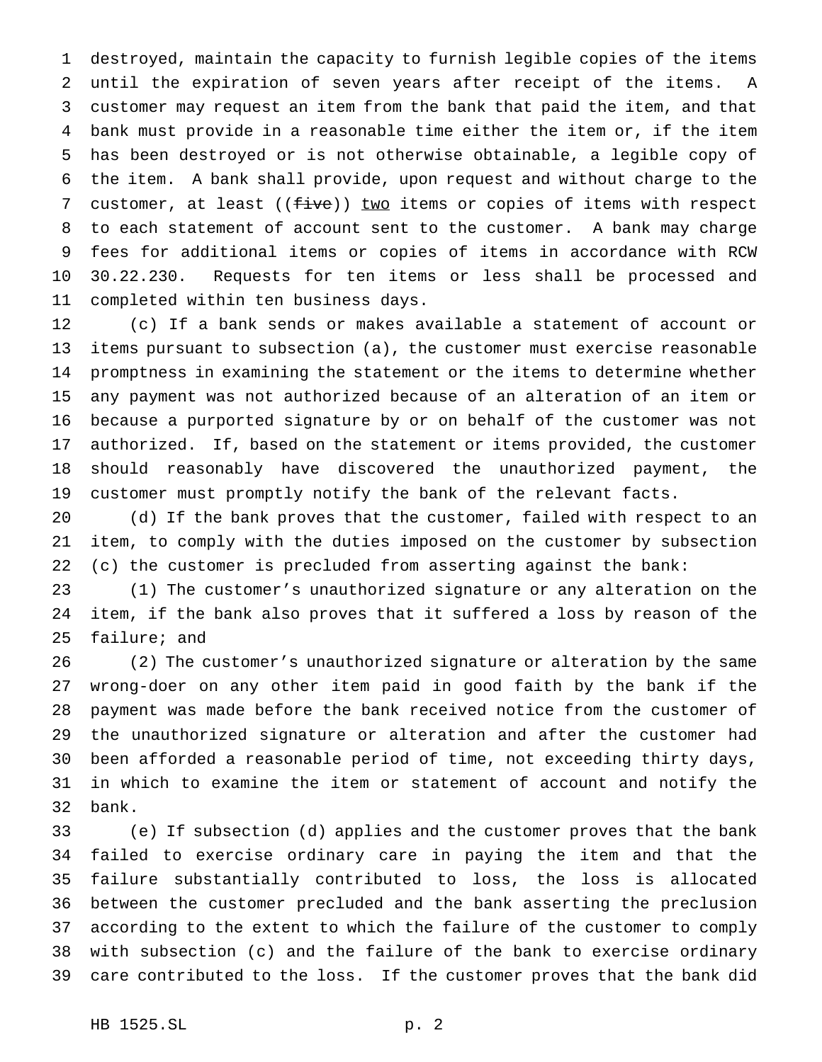destroyed, maintain the capacity to furnish legible copies of the items until the expiration of seven years after receipt of the items. A customer may request an item from the bank that paid the item, and that bank must provide in a reasonable time either the item or, if the item has been destroyed or is not otherwise obtainable, a legible copy of the item. A bank shall provide, upon request and without charge to the 7 customer, at least ((five)) two items or copies of items with respect to each statement of account sent to the customer. A bank may charge fees for additional items or copies of items in accordance with RCW 30.22.230. Requests for ten items or less shall be processed and completed within ten business days.

 (c) If a bank sends or makes available a statement of account or items pursuant to subsection (a), the customer must exercise reasonable promptness in examining the statement or the items to determine whether any payment was not authorized because of an alteration of an item or because a purported signature by or on behalf of the customer was not authorized. If, based on the statement or items provided, the customer should reasonably have discovered the unauthorized payment, the customer must promptly notify the bank of the relevant facts.

 (d) If the bank proves that the customer, failed with respect to an item, to comply with the duties imposed on the customer by subsection (c) the customer is precluded from asserting against the bank:

 (1) The customer's unauthorized signature or any alteration on the item, if the bank also proves that it suffered a loss by reason of the failure; and

 (2) The customer's unauthorized signature or alteration by the same wrong-doer on any other item paid in good faith by the bank if the payment was made before the bank received notice from the customer of the unauthorized signature or alteration and after the customer had been afforded a reasonable period of time, not exceeding thirty days, in which to examine the item or statement of account and notify the bank.

 (e) If subsection (d) applies and the customer proves that the bank failed to exercise ordinary care in paying the item and that the failure substantially contributed to loss, the loss is allocated between the customer precluded and the bank asserting the preclusion according to the extent to which the failure of the customer to comply with subsection (c) and the failure of the bank to exercise ordinary care contributed to the loss. If the customer proves that the bank did